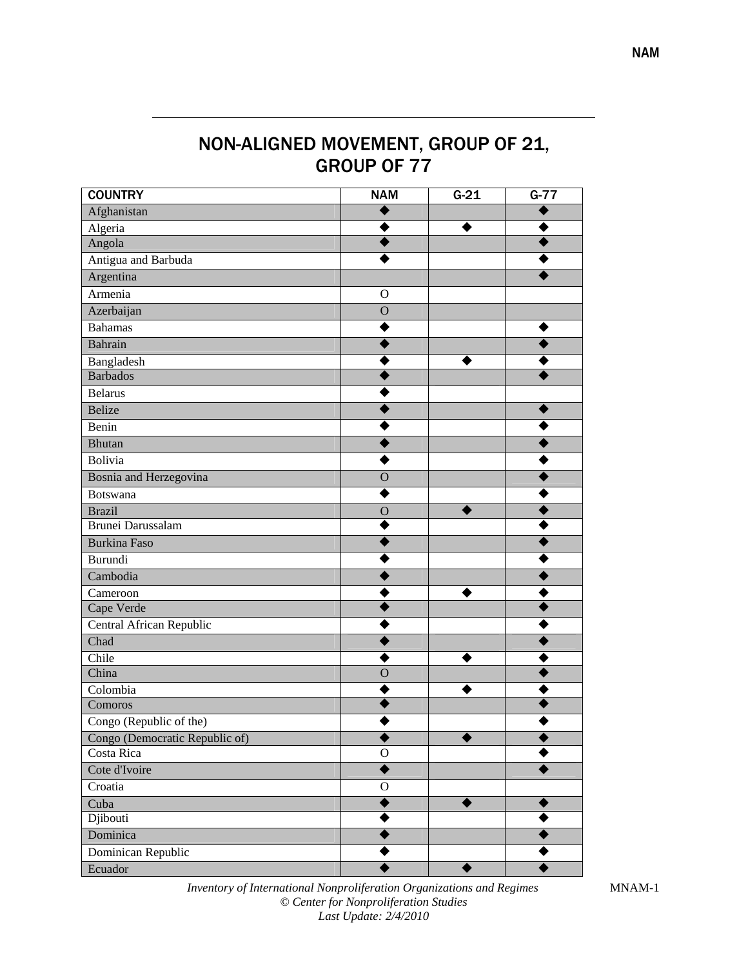| <b>COUNTRY</b>                 | <b>NAM</b>     | $G-21$ | $G-77$ |
|--------------------------------|----------------|--------|--------|
| Afghanistan                    |                |        |        |
| Algeria                        |                |        |        |
| Angola                         |                |        |        |
| Antigua and Barbuda            |                |        |        |
| Argentina                      |                |        |        |
| Armenia                        | O              |        |        |
| Azerbaijan                     | $\overline{O}$ |        |        |
| <b>Bahamas</b>                 |                |        |        |
| <b>Bahrain</b>                 |                |        |        |
| Bangladesh                     |                |        |        |
| <b>Barbados</b>                |                |        |        |
| <b>Belarus</b>                 |                |        |        |
| <b>Belize</b>                  |                |        |        |
| Benin                          |                |        |        |
| <b>Bhutan</b>                  |                |        |        |
| Bolivia                        |                |        |        |
| Bosnia and Herzegovina         | $\overline{O}$ |        |        |
| Botswana                       |                |        |        |
| <b>Brazil</b>                  | O              |        |        |
| Brunei Darussalam              |                |        |        |
| <b>Burkina Faso</b>            |                |        |        |
| Burundi                        |                |        |        |
| Cambodia                       |                |        |        |
| Cameroon                       |                |        |        |
| Cape Verde                     |                |        |        |
| Central African Republic       |                |        |        |
| Chad                           |                |        |        |
| Chile                          |                |        |        |
| China                          | $\overline{O}$ |        |        |
| Colombia                       |                |        |        |
| Comoros                        |                |        |        |
| Congo (Republic of the)        |                |        |        |
| Congo (Democratic Republic of) |                |        |        |
| Costa Rica                     | $\mathcal O$   |        |        |
| Cote d'Ivoire                  |                |        |        |
| Croatia                        | $\mathbf O$    |        |        |
| Cuba                           |                |        |        |
| Djibouti                       |                |        |        |
| Dominica                       |                |        |        |
| Dominican Republic             |                |        |        |
| Ecuador                        |                |        |        |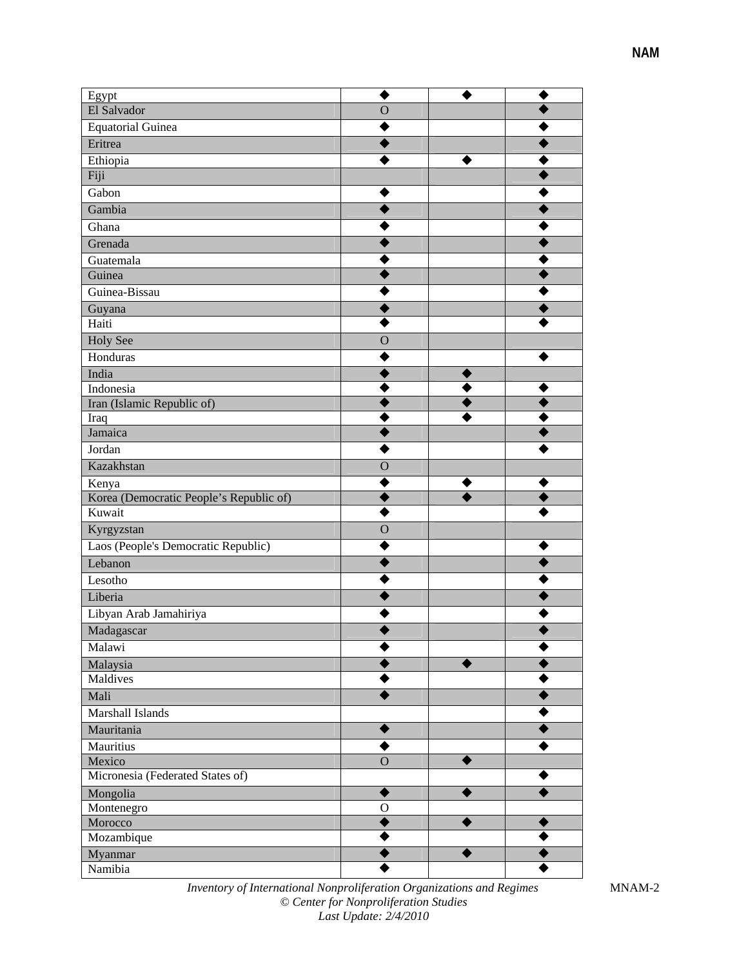| Egypt                                   |                |  |
|-----------------------------------------|----------------|--|
| El Salvador                             | $\overline{O}$ |  |
| <b>Equatorial Guinea</b>                |                |  |
|                                         |                |  |
| Eritrea                                 |                |  |
| Ethiopia                                |                |  |
| Fiji                                    |                |  |
| Gabon                                   |                |  |
| Gambia                                  |                |  |
| Ghana                                   |                |  |
| Grenada                                 |                |  |
| Guatemala                               |                |  |
| Guinea                                  |                |  |
| Guinea-Bissau                           |                |  |
| Guyana                                  |                |  |
| Haiti                                   |                |  |
| <b>Holy See</b>                         | $\Omega$       |  |
| Honduras                                |                |  |
| India                                   |                |  |
| Indonesia                               |                |  |
| Iran (Islamic Republic of)              |                |  |
| Iraq                                    |                |  |
| Jamaica                                 |                |  |
| Jordan                                  |                |  |
| Kazakhstan                              | О              |  |
| Kenya                                   |                |  |
| Korea (Democratic People's Republic of) |                |  |
| Kuwait                                  |                |  |
| Kyrgyzstan                              | $\overline{O}$ |  |
| Laos (People's Democratic Republic)     |                |  |
| Lebanon                                 |                |  |
| Lesotho                                 |                |  |
| Liberia                                 |                |  |
| Libyan Arab Jamahiriya                  |                |  |
|                                         |                |  |
| Madagascar                              |                |  |
| Malawi                                  |                |  |
| Malaysia<br>Maldives                    |                |  |
|                                         |                |  |
| Mali                                    |                |  |
| Marshall Islands                        |                |  |
| Mauritania                              |                |  |
| Mauritius                               |                |  |
| Mexico                                  | $\overline{O}$ |  |
| Micronesia (Federated States of)        |                |  |
| Mongolia                                |                |  |
| Montenegro                              | $\mathbf O$    |  |
| Morocco                                 |                |  |
| Mozambique                              |                |  |
| Myanmar                                 |                |  |
| Namibia                                 |                |  |

*Inventory of International Nonproliferation Organizations and Regimes © Center for Nonproliferation Studies Last Update: 2/4/2010* 

MNAM-2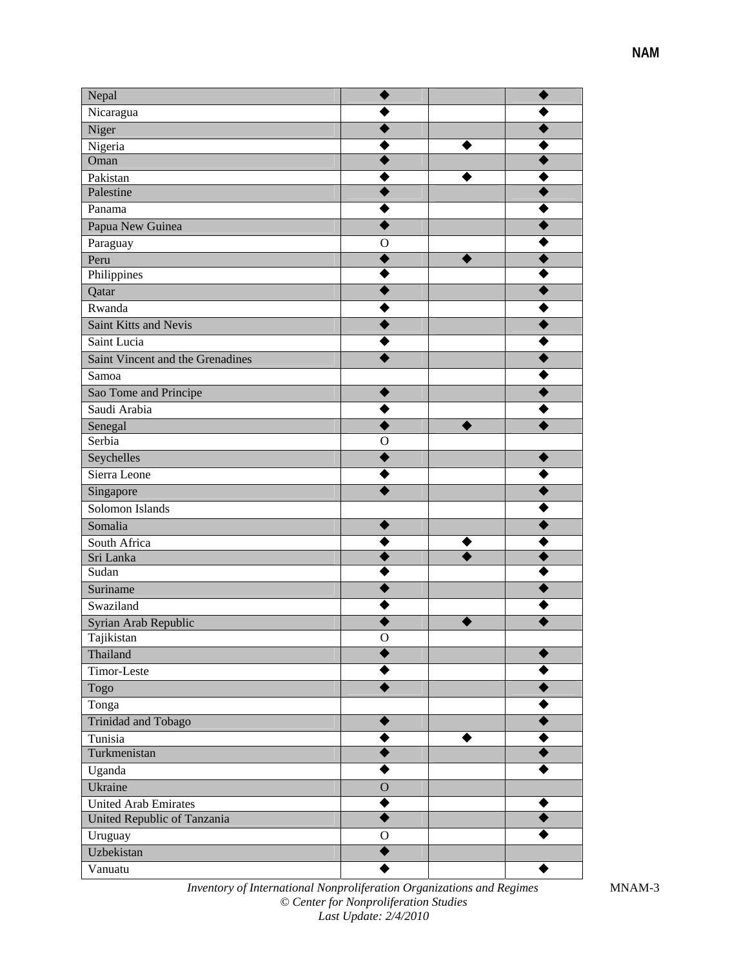| Nepal                            |                |  |
|----------------------------------|----------------|--|
| Nicaragua                        |                |  |
| Niger                            |                |  |
| Nigeria                          |                |  |
| Oman                             |                |  |
| Pakistan                         |                |  |
| Palestine                        |                |  |
| Panama                           |                |  |
| Papua New Guinea                 |                |  |
| Paraguay                         | O              |  |
| Peru                             |                |  |
| Philippines                      |                |  |
| Qatar                            |                |  |
| Rwanda                           |                |  |
| <b>Saint Kitts and Nevis</b>     |                |  |
| Saint Lucia                      |                |  |
| Saint Vincent and the Grenadines |                |  |
| Samoa                            |                |  |
| Sao Tome and Principe            |                |  |
| Saudi Arabia                     |                |  |
| Senegal                          |                |  |
| Serbia                           | О              |  |
| Seychelles                       |                |  |
| Sierra Leone                     |                |  |
|                                  |                |  |
| Singapore<br>Solomon Islands     |                |  |
|                                  |                |  |
| Somalia                          |                |  |
| South Africa                     |                |  |
| Sri Lanka<br>Sudan               |                |  |
| Suriname                         |                |  |
| Swaziland                        |                |  |
|                                  |                |  |
| Syrian Arab Republic             |                |  |
| Tajikistan<br>Thailand           | О              |  |
|                                  |                |  |
| Timor-Leste                      |                |  |
| Togo                             |                |  |
| Tonga                            |                |  |
| Trinidad and Tobago              |                |  |
| Tunisia                          |                |  |
| Turkmenistan                     |                |  |
| Uganda                           |                |  |
| Ukraine                          | $\overline{O}$ |  |
| <b>United Arab Emirates</b>      |                |  |
| United Republic of Tanzania      |                |  |
| Uruguay                          | O              |  |
| Uzbekistan                       |                |  |
| Vanuatu                          |                |  |

**NAM** 

*Inventory of International Nonproliferation Organizations and Regimes © Center for Nonproliferation Studies Last Update: 2/4/2010* 

MNAM-3